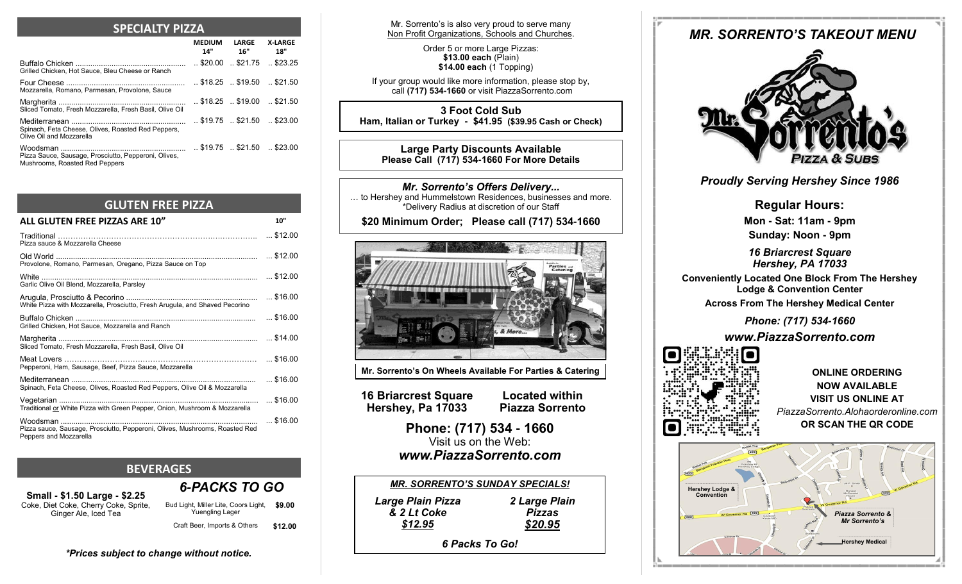### **SPECIALTY PIZZA**

|                                                                                        | MEDIUM LARGE<br>14" 16"                                        | <b>X-LARGE</b><br>18" |
|----------------------------------------------------------------------------------------|----------------------------------------------------------------|-----------------------|
| Grilled Chicken, Hot Sauce, Bleu Cheese or Ranch                                       | $.$ \$20.00 $.$ \$21.75                                        | $\ldots$ \$23.25      |
| Mozzarella, Romano, Parmesan, Provolone, Sauce                                         | $\ldots$ \$18.25 $\ldots$ \$19.50 $\ldots$ \$21.50             |                       |
| Sliced Tomato, Fresh Mozzarella, Fresh Basil, Olive Oil                                | $.$ \$18.25 $.$ \$19.00 $.$ \$21.50                            |                       |
| Spinach, Feta Cheese, Olives, Roasted Red Peppers,<br>Olive Oil and Mozzarella         | $\ldots$ \$19.75 $\ldots$ \$21.50 $\ldots$ \$23.00             |                       |
| Pizza Sauce, Sausage, Prosciutto, Pepperoni, Olives,<br>Mushrooms, Roasted Red Peppers | $\therefore$ \$19.75 $\therefore$ \$21.50 $\therefore$ \$23.00 |                       |

# **GLUTEN FREE PIZZA**

| 10"             |
|-----------------|
|                 |
|                 |
| $$ \$12.00      |
| $$ \$16.00      |
|                 |
| $\dots$ \$14.00 |
|                 |
| $$ \$16.00      |
| $$ \$16.00      |
| $$ \$16.00      |
|                 |

# **BEVERAGES**

*\*Prices subject to change without notice.*

**Small - \$1.50 Large - \$2.25** Coke, Diet Coke, Cherry Coke, Sprite, Ginger Ale, Iced Tea

Bud Light, Miller Lite, Coors Light, **\$9.00**  Yuengling Lager Craft Beer, Imports & Others **\$12.00** 

*6-PACKS TO GO* 

Mr. Sorrento's is also very proud to serve many Non Profit Organizations, Schools and Churches.

> Order 5 or more Large Pizzas: **\$13.00 each** (Plain) **\$14.00 each** (1 Topping)

If your group would like more information, please stop by, call **(717) 534-1660** or visit PiazzaSorrento.com

**3 Foot Cold Sub Ham, Italian or Turkey - \$41.95 (\$39.95 Cash or Check)**

**Large Party Discounts Available Please Call (717) 534-1660 For More Details**

*Mr. Sorrento's Offers Delivery...* ... to Hershey and Hummelstown Residences, businesses and more. \*Delivery Radius at discretion of our Staff

# **\$20 Minimum Order; Please call (717) 534-1660**



**Mr. Sorrento's On Wheels Available For Parties & Catering**

**16 Briarcrest Square Hershey, Pa 17033**

**Located within Piazza Sorrento**

**Phone: (717) 534 - 1660** Visit us on the Web: *www.PiazzaSorrento.com*

| <b>MR. SORRENTO'S SUNDAY SPECIALS!</b> |               |
|----------------------------------------|---------------|
| <b>Large Plain Pizza</b>               | 2 Large Plain |
| & 2 Lt Coke                            | <b>Pizzas</b> |
| \$12.95                                | \$20.95       |
| .                                      |               |

# *6 Packs To Go!*

# *MR. SORRENTO'S TAKEOUT MENU*



# *Proudly Serving Hershey Since 1986*

**Regular Hours: Mon - Sat: 11am - 9pm Sunday: Noon - 9pm**

*16 Briarcrest Square Hershey, PA 17033*

**Conveniently Located One Block From The Hershey Lodge & Convention Center**

**Across From The Hershey Medical Center**

*Phone: (717) 534-1660*

*www.PiazzaSorrento.com*



**ONLINE ORDERING NOW AVAILABLE VISIT US ONLINE AT** *PiazzaSorrento.Alohaorderonline.com* **OR SCAN THE QR CODE**